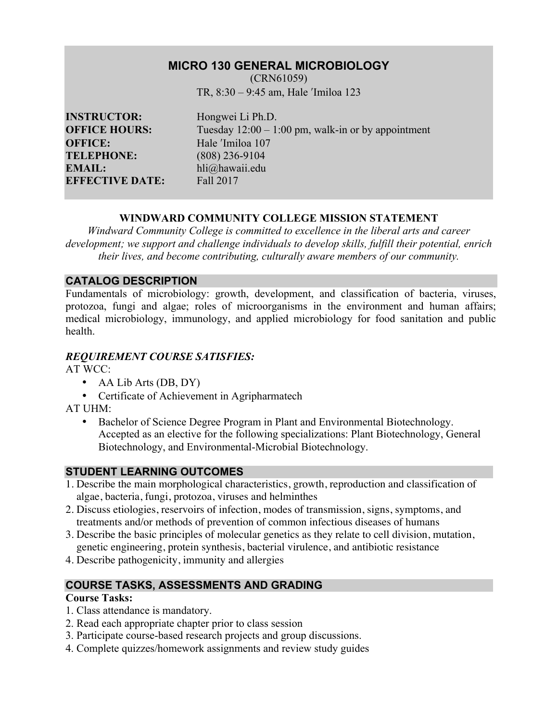# **MICRO 130 GENERAL MICROBIOLOGY**

(CRN61059) TR, 8:30 – 9:45 am, Hale ʹImiloa 123

**INSTRUCTOR:** Hongwei Li Ph.D. **OFFICE:** Hale <sup>'Imiloa</sup> 107<br> **TELEPHONE:** (808) 236-9104 **EMAIL:** hli@hawaii.edu **EFFECTIVE DATE:** Fall 2017

**OFFICE HOURS:** Tuesday  $12:00 - 1:00$  pm, walk-in or by appointment **TELEPHONE:** (808) 236-9104

## **WINDWARD COMMUNITY COLLEGE MISSION STATEMENT**

*Windward Community College is committed to excellence in the liberal arts and career development; we support and challenge individuals to develop skills, fulfill their potential, enrich their lives, and become contributing, culturally aware members of our community.*

## **CATALOG DESCRIPTION**

Fundamentals of microbiology: growth, development, and classification of bacteria, viruses, protozoa, fungi and algae; roles of microorganisms in the environment and human affairs; medical microbiology, immunology, and applied microbiology for food sanitation and public health.

## *REQUIREMENT COURSE SATISFIES:*

AT WCC:

- AA Lib Arts (DB, DY)
- Certificate of Achievement in Agripharmatech

AT UHM:

• Bachelor of Science Degree Program in Plant and Environmental Biotechnology. Accepted as an elective for the following specializations: Plant Biotechnology, General Biotechnology, and Environmental-Microbial Biotechnology.

# **STUDENT LEARNING OUTCOMES**

- 1. Describe the main morphological characteristics, growth, reproduction and classification of algae, bacteria, fungi, protozoa, viruses and helminthes
- 2. Discuss etiologies, reservoirs of infection, modes of transmission, signs, symptoms, and treatments and/or methods of prevention of common infectious diseases of humans
- 3. Describe the basic principles of molecular genetics as they relate to cell division, mutation, genetic engineering, protein synthesis, bacterial virulence, and antibiotic resistance
- 4. Describe pathogenicity, immunity and allergies

# **COURSE TASKS, ASSESSMENTS AND GRADING**

### **Course Tasks:**

- 1. Class attendance is mandatory.
- 2. Read each appropriate chapter prior to class session
- 3. Participate course-based research projects and group discussions.
- 4. Complete quizzes/homework assignments and review study guides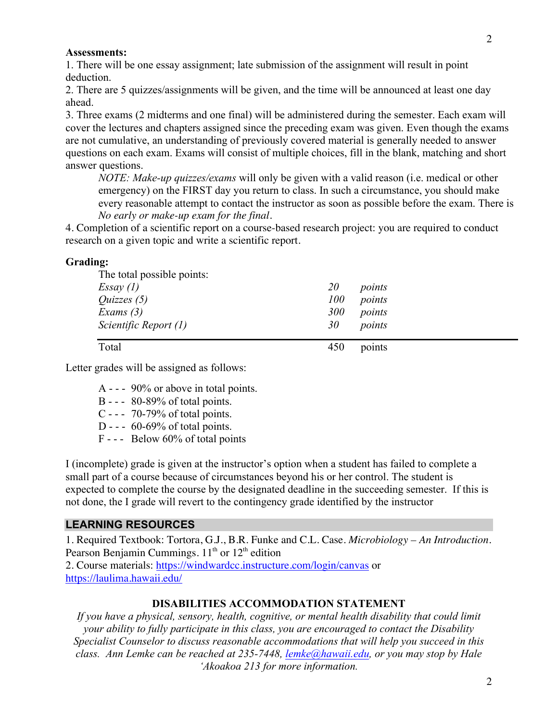#### **Assessments:**

1. There will be one essay assignment; late submission of the assignment will result in point deduction.

2. There are 5 quizzes/assignments will be given, and the time will be announced at least one day ahead.

3. Three exams (2 midterms and one final) will be administered during the semester. Each exam will cover the lectures and chapters assigned since the preceding exam was given. Even though the exams are not cumulative, an understanding of previously covered material is generally needed to answer questions on each exam. Exams will consist of multiple choices, fill in the blank, matching and short answer questions.

*NOTE: Make-up quizzes/exams* will only be given with a valid reason (i.e. medical or other emergency) on the FIRST day you return to class. In such a circumstance, you should make every reasonable attempt to contact the instructor as soon as possible before the exam. There is *No early or make-up exam for the final.*

4. Completion of a scientific report on a course-based research project: you are required to conduct research on a given topic and write a scientific report.

#### **Grading:**

| The total possible points: |            |        |  |
|----------------------------|------------|--------|--|
| Essay(1)                   | <i>20</i>  | points |  |
| <i>Quizzes</i> $(5)$       | 100        | points |  |
| Exams $(3)$                | <b>300</b> | points |  |
| Scientific Report (1)      | 30         | points |  |
| Total                      | 450        | points |  |

Letter grades will be assigned as follows:

- A - 90% or above in total points.
- B - 80-89% of total points.
- C - 70-79% of total points.
- D -  $60-69\%$  of total points.
- F - Below 60% of total points

I (incomplete) grade is given at the instructor's option when a student has failed to complete a small part of a course because of circumstances beyond his or her control. The student is expected to complete the course by the designated deadline in the succeeding semester. If this is not done, the I grade will revert to the contingency grade identified by the instructor

#### **LEARNING RESOURCES**

1. Required Textbook: Tortora, G.J., B.R. Funke and C.L. Case. *Microbiology – An Introduction*. Pearson Benjamin Cummings.  $11<sup>th</sup>$  or  $12<sup>th</sup>$  edition

2. Course materials: https://windwardcc.instructure.com/login/canvas or https://laulima.hawaii.edu/

#### **DISABILITIES ACCOMMODATION STATEMENT**

*If you have a physical, sensory, health, cognitive, or mental health disability that could limit your ability to fully participate in this class, you are encouraged to contact the Disability Specialist Counselor to discuss reasonable accommodations that will help you succeed in this class. Ann Lemke can be reached at 235-7448, lemke@hawaii.edu, or you may stop by Hale 'Akoakoa 213 for more information.*